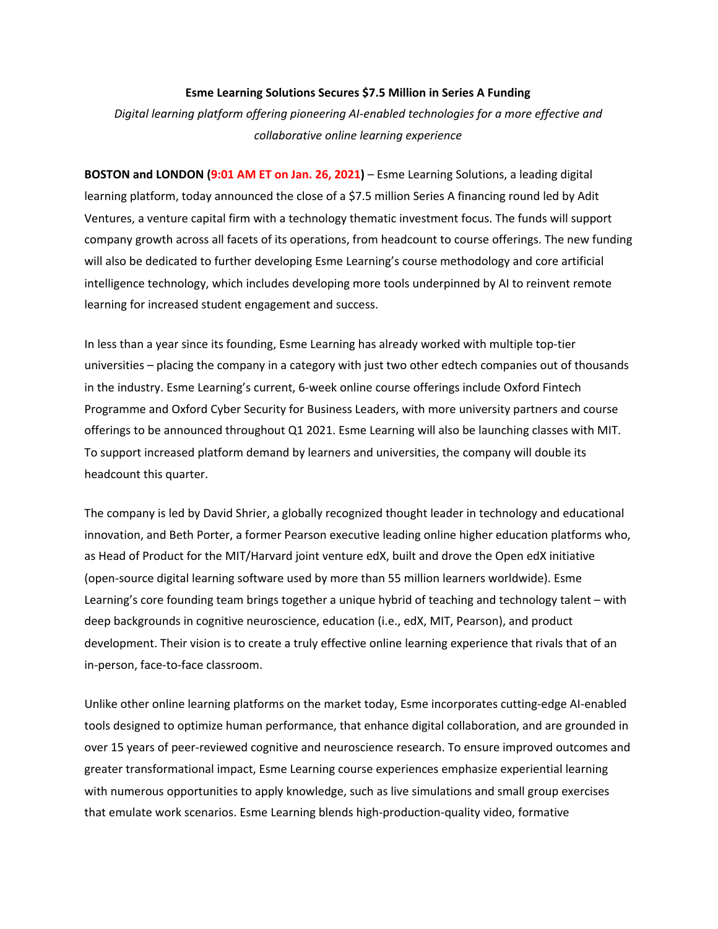## **Esme Learning Solutions Secures \$7.5 Million in Series A Funding**

*Digital learning platform offering pioneering AI-enabled technologies for a more effective and collaborative online learning experience*

**BOSTON and LONDON (9:01 AM ET on Jan. 26, 2021)** – Esme Learning Solutions, a leading digital learning platform, today announced the close of a \$7.5 million Series A financing round led by Adit Ventures, a venture capital firm with a technology thematic investment focus. The funds will support company growth across all facets of its operations, from headcount to course offerings. The new funding will also be dedicated to further developing Esme Learning's course methodology and core artificial intelligence technology, which includes developing more tools underpinned by AI to reinvent remote learning for increased student engagement and success.

In less than a year since its founding, Esme Learning has already worked with multiple top-tier universities – placing the company in a category with just two other edtech companies out of thousands in the industry. Esme Learning's current, 6-week online course offerings include Oxford Fintech Programme and Oxford Cyber Security for Business Leaders, with more university partners and course offerings to be announced throughout Q1 2021. Esme Learning will also be launching classes with MIT. To support increased platform demand by learners and universities, the company will double its headcount this quarter.

The company is led by David Shrier, a globally recognized thought leader in technology and educational innovation, and Beth Porter, a former Pearson executive leading online higher education platforms who, as Head of Product for the MIT/Harvard joint venture edX, built and drove the Open edX initiative (open-source digital learning software used by more than 55 million learners worldwide). Esme Learning's core founding team brings together a unique hybrid of teaching and technology talent – with deep backgrounds in cognitive neuroscience, education (i.e., edX, MIT, Pearson), and product development. Their vision is to create a truly effective online learning experience that rivals that of an in-person, face-to-face classroom.

Unlike other online learning platforms on the market today, Esme incorporates cutting-edge AI-enabled tools designed to optimize human performance, that enhance digital collaboration, and are grounded in over 15 years of peer-reviewed cognitive and neuroscience research. To ensure improved outcomes and greater transformational impact, Esme Learning course experiences emphasize experiential learning with numerous opportunities to apply knowledge, such as live simulations and small group exercises that emulate work scenarios. Esme Learning blends high-production-quality video, formative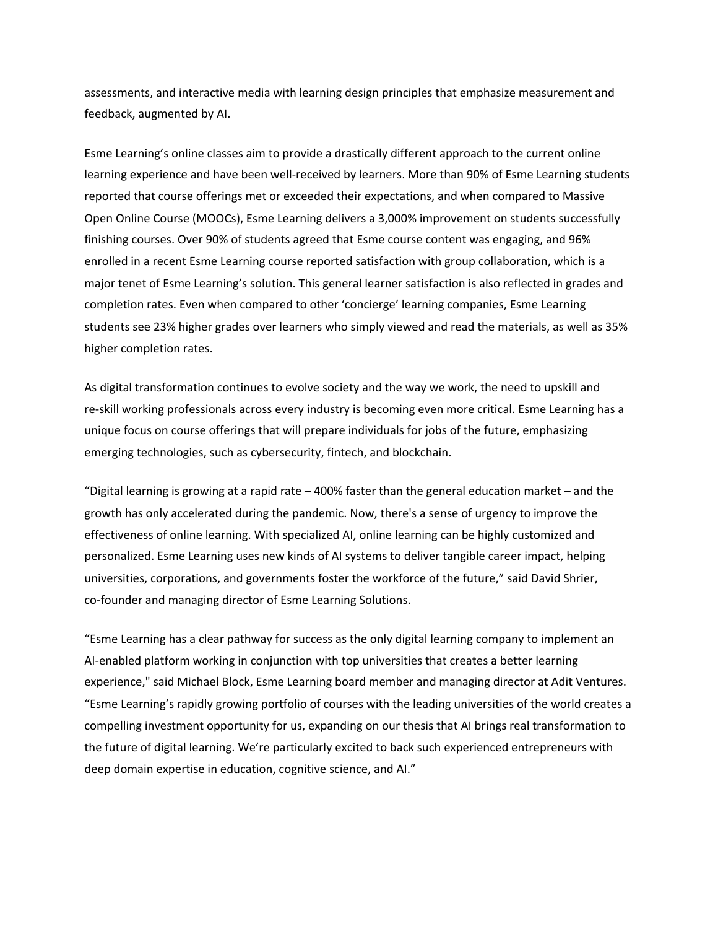assessments, and interactive media with learning design principles that emphasize measurement and feedback, augmented by AI.

Esme Learning's online classes aim to provide a drastically different approach to the current online learning experience and have been well-received by learners. More than 90% of Esme Learning students reported that course offerings met or exceeded their expectations, and when compared to Massive Open Online Course (MOOCs), Esme Learning delivers a 3,000% improvement on students successfully finishing courses. Over 90% of students agreed that Esme course content was engaging, and 96% enrolled in a recent Esme Learning course reported satisfaction with group collaboration, which is a major tenet of Esme Learning's solution. This general learner satisfaction is also reflected in grades and completion rates. Even when compared to other 'concierge' learning companies, Esme Learning students see 23% higher grades over learners who simply viewed and read the materials, as well as 35% higher completion rates.

As digital transformation continues to evolve society and the way we work, the need to upskill and re-skill working professionals across every industry is becoming even more critical. Esme Learning has a unique focus on course offerings that will prepare individuals for jobs of the future, emphasizing emerging technologies, such as cybersecurity, fintech, and blockchain.

"Digital learning is growing at a rapid rate – 400% faster than the general education market – and the growth has only accelerated during the pandemic. Now, there's a sense of urgency to improve the effectiveness of online learning. With specialized AI, online learning can be highly customized and personalized. Esme Learning uses new kinds of AI systems to deliver tangible career impact, helping universities, corporations, and governments foster the workforce of the future," said David Shrier, co-founder and managing director of Esme Learning Solutions.

"Esme Learning has a clear pathway for success as the only digital learning company to implement an AI-enabled platform working in conjunction with top universities that creates a better learning experience," said Michael Block, Esme Learning board member and managing director at Adit Ventures. "Esme Learning's rapidly growing portfolio of courses with the leading universities of the world creates a compelling investment opportunity for us, expanding on our thesis that AI brings real transformation to the future of digital learning. We're particularly excited to back such experienced entrepreneurs with deep domain expertise in education, cognitive science, and AI."